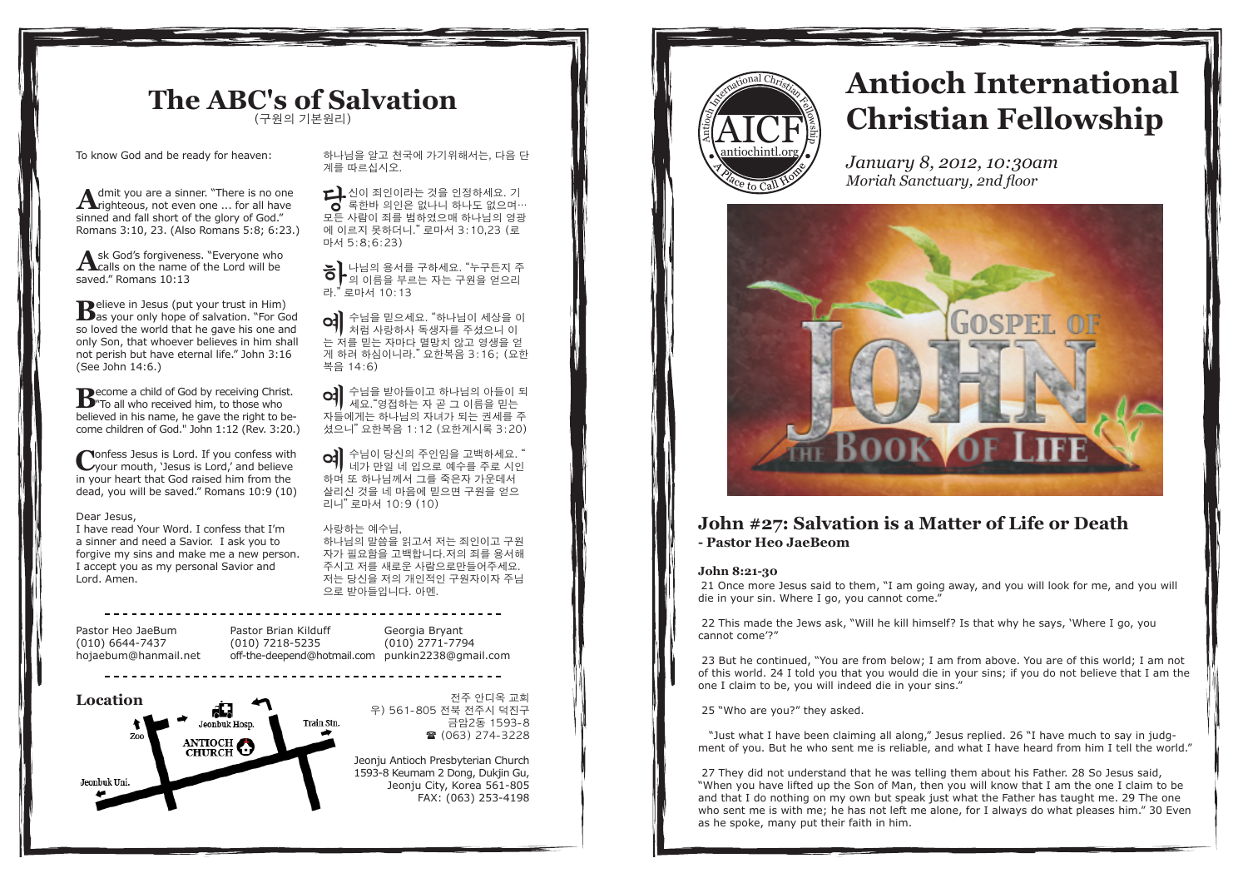### **The ABC's of Salvation** (구원의 기본원리)

To know God and be ready for heaven:

**A**dmit you are a sinner. "There is no one<br>**A**righteous, not even one ... for all have sinned and fall short of the glory of God." Romans 3:10, 23. (Also Romans 5:8; 6:23.)

Ask God's forgiveness. "Everyone who<br>calls on the name of the Lord will be saved." Romans 10:13

**Believe in Jesus (put your trust in Him)**<br>as your only hope of salvation. "For God so loved the world that he gave his one and only Son, that whoever believes in him shall not perish but have eternal life." John 3:16 (See John 14:6.)

**B**ecome a child of God by receiving Christ.<br>
"To all who received him, to those who believed in his name, he gave the right to become children of God." John 1:12 (Rev. 3:20.)

**C**onfess Jesus is Lord. If you confess with<br>
your mouth, 'Jesus is Lord,' and believe in your heart that God raised him from the dead, you will be saved." Romans 10:9 (10)

#### Dear Jesus,

I have read Your Word. I confess that I'm a sinner and need a Savior. I ask you to forgive my sins and make me a new person. I accept you as my personal Savior and Lord. Amen.

Pastor Heo JaeBum (010) 6644-7437 hojaebum@hanmail.net





하나님을 알고 천국에 가기위해서는, 다음 단 계를 따르십시오.

 $\sum_{i=1}^{n}$ 신이 죄인이라는 것을 인정하세요. 기 록한바 의인은 없나니 하나도 없으며… 모든 사람이 죄를 범하였으매 하나님의 영광 에 이르지 못하더니." 로마서 3:10,23 (로 마서 5:8;6:23)

 $\sum$  나님의 용서를 구하세요. "누구든지 주 의 이름을 부르는 자는 구원을 얻으리 라." 로마서 10:13

O-] 수님을 믿으세요. "하나님이 세상을 이<br>저럼 사랑하사 독생자를 주셨으니 이 는 저를 믿는 자마다 멸망치 않고 영생을 얻 게 하려 하심이니라." 요한복음 3:16; (요한 복음 14:6)

CC - 수님을 받아들이고 하나님의 아들이 되 세요."영접하는 자 곧 그 이름을 믿는 자들에게는 하나님의 자녀가 되는 권세를 주 셨으니" 요한복음 1:12 (요한계시록 3:20)

 $\alpha$  수님이 당신의 주인임을 고백하세요. 네가 만일 네 입으로 예수를 주로 시인 하며 또 하나님께서 그를 죽은자 가운데서 살리신 것을 네 마음에 믿으면 구원을 얻으 리니" 로마서 10:9 (10)

#### 사랑하는 예수님,

하나님의 말씀을 읽고서 저는 죄인이고 구원 자가 필요함을 고백합니다.저의 죄를 용서해 주시고 저를 새로운 사람으로만들어주세요. 저는 당신을 저의 개인적인 구원자이자 주님 으로 받아들입니다. 아멘.

전주 안디옥 교회

우) 561-805 전북 전주시 덕진구 금암2동 1593-8  $(063)$  274-3228

Jeonju Antioch Presbyterian Church 1593-8 Keumam 2 Dong, Dukjin Gu, Jeonju City, Korea 561-805 FAX: (063) 253-4198



# **Antioch International Christian Fellowship**

*January 8, 2012, 10:30am Moriah Sanctuary, 2nd floor*



### **John #27: Salvation is a Matter of Life or Death - Pastor Heo JaeBeom**

### **John 8:21-30**

21 Once more Jesus said to them, "I am going away, and you will look for me, and you will die in your sin. Where I go, you cannot come."

 22 This made the Jews ask, "Will he kill himself? Is that why he says, 'Where I go, you cannot come'?"

 23 But he continued, "You are from below; I am from above. You are of this world; I am not of this world. 24 I told you that you would die in your sins; if you do not believe that I am the one I claim to be, you will indeed die in your sins."

25 "Who are you?" they asked.

 "Just what I have been claiming all along," Jesus replied. 26 "I have much to say in judgment of you. But he who sent me is reliable, and what I have heard from him I tell the world."

 27 They did not understand that he was telling them about his Father. 28 So Jesus said, "When you have lifted up the Son of Man, then you will know that I am the one I claim to be and that I do nothing on my own but speak just what the Father has taught me. 29 The one who sent me is with me; he has not left me alone, for I always do what pleases him." 30 Even as he spoke, many put their faith in him.